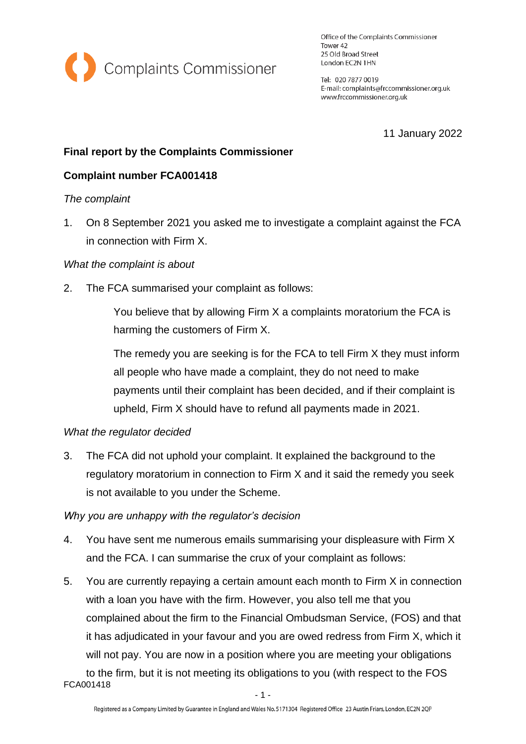

Office of the Complaints Commissioner Tower 42 25 Old Broad Street London EC2N 1HN

Tel: 020 7877 0019 E-mail: complaints@frccommissioner.org.uk www.frccommissioner.org.uk

11 January 2022

# **Final report by the Complaints Commissioner**

## **Complaint number FCA001418**

#### *The complaint*

1. On 8 September 2021 you asked me to investigate a complaint against the FCA in connection with Firm X.

### *What the complaint is about*

2. The FCA summarised your complaint as follows:

You believe that by allowing Firm X a complaints moratorium the FCA is harming the customers of Firm X.

The remedy you are seeking is for the FCA to tell Firm X they must inform all people who have made a complaint, they do not need to make payments until their complaint has been decided, and if their complaint is upheld, Firm X should have to refund all payments made in 2021.

#### *What the regulator decided*

3. The FCA did not uphold your complaint. It explained the background to the regulatory moratorium in connection to Firm X and it said the remedy you seek is not available to you under the Scheme.

#### *Why you are unhappy with the regulator's decision*

- 4. You have sent me numerous emails summarising your displeasure with Firm X and the FCA. I can summarise the crux of your complaint as follows:
- 5. You are currently repaying a certain amount each month to Firm X in connection with a loan you have with the firm. However, you also tell me that you complained about the firm to the Financial Ombudsman Service, (FOS) and that it has adjudicated in your favour and you are owed redress from Firm X, which it will not pay. You are now in a position where you are meeting your obligations to the firm, but it is not meeting its obligations to you (with respect to the FOS

FCA001418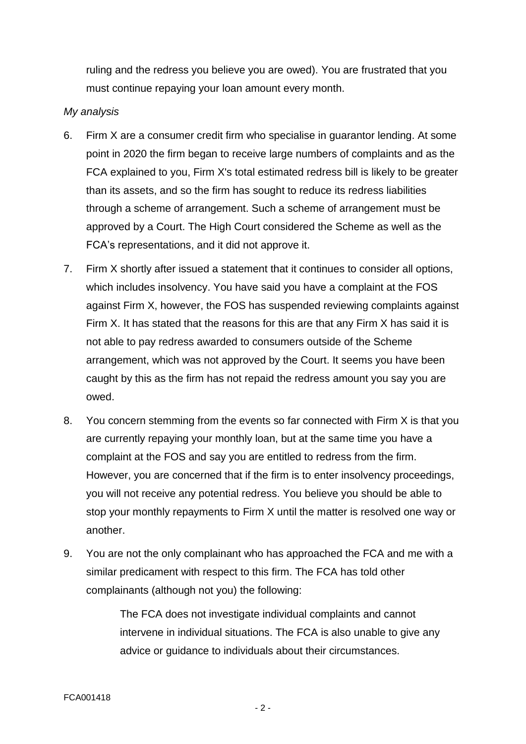ruling and the redress you believe you are owed). You are frustrated that you must continue repaying your loan amount every month.

### *My analysis*

- 6. Firm X are a consumer credit firm who specialise in guarantor lending. At some point in 2020 the firm began to receive large numbers of complaints and as the FCA explained to you, Firm X's total estimated redress bill is likely to be greater than its assets, and so the firm has sought to reduce its redress liabilities through a scheme of arrangement. Such a scheme of arrangement must be approved by a Court. The High Court considered the Scheme as well as the FCA's representations, and it did not approve it.
- 7. Firm X shortly after issued a statement that it continues to consider all options, which includes insolvency. You have said you have a complaint at the FOS against Firm X, however, the FOS has suspended reviewing complaints against Firm X. It has stated that the reasons for this are that any Firm X has said it is not able to pay redress awarded to consumers outside of the Scheme arrangement, which was not approved by the Court. It seems you have been caught by this as the firm has not repaid the redress amount you say you are owed.
- 8. You concern stemming from the events so far connected with Firm X is that you are currently repaying your monthly loan, but at the same time you have a complaint at the FOS and say you are entitled to redress from the firm. However, you are concerned that if the firm is to enter insolvency proceedings, you will not receive any potential redress. You believe you should be able to stop your monthly repayments to Firm X until the matter is resolved one way or another.
- 9. You are not the only complainant who has approached the FCA and me with a similar predicament with respect to this firm. The FCA has told other complainants (although not you) the following:

The FCA does not investigate individual complaints and cannot intervene in individual situations. The FCA is also unable to give any advice or guidance to individuals about their circumstances.